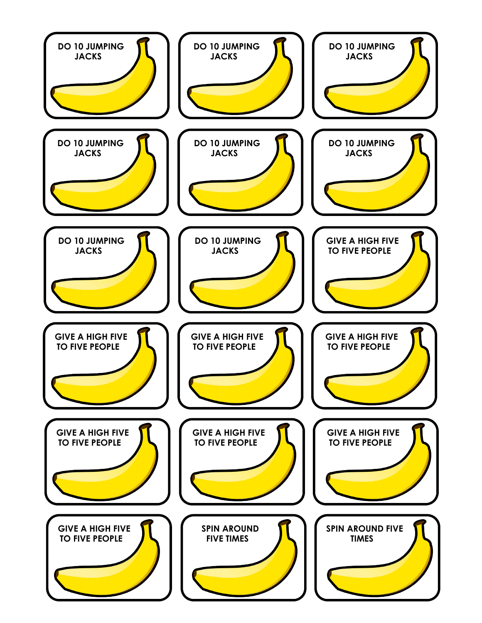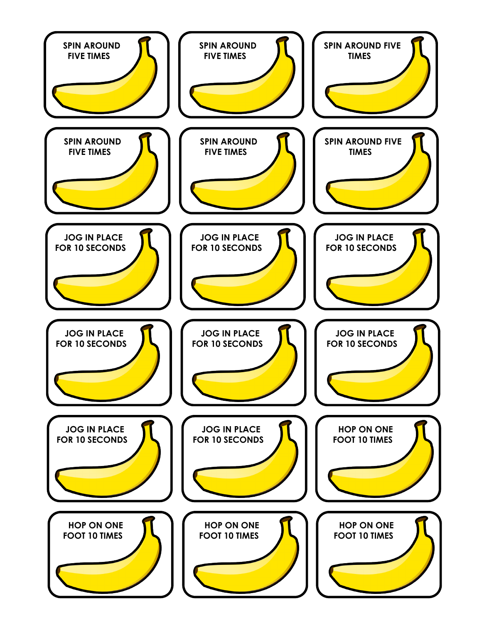